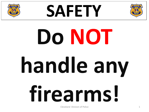





# **Do NOT handle any firearms!**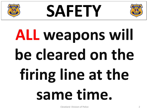





# **ALL weapons will**  be cleared on the **firing line at the same time.**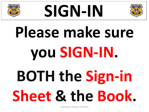





# **Please make sure you SIGN-IN. BOTH the Sign-in Sheet & the Book.**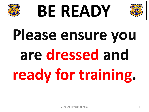

#### **BE READY**



### **Please ensure you are dressed and ready for training.**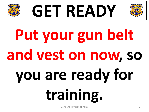





# **Put your gun belt and vest on now, so you are ready for training.**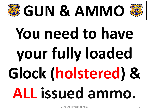

# **You need to have your fully loaded Glock (holstered) & ALL issued ammo.**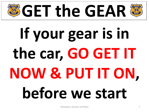#### **GET the GEAR**

# **If your gear is in the car, GO GET IT NOW & PUT IT ON, before we start**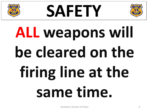





# **ALL weapons will**  be cleared on the **firing line at the same time.**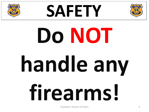





# **Do NOT handle any firearms!**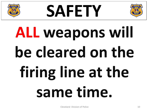





# **ALL weapons will**  be cleared on the **firing line at the same time.**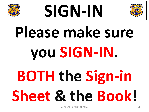





# **Please make sure you SIGN-IN. BOTH the Sign-in Sheet & the Book!**